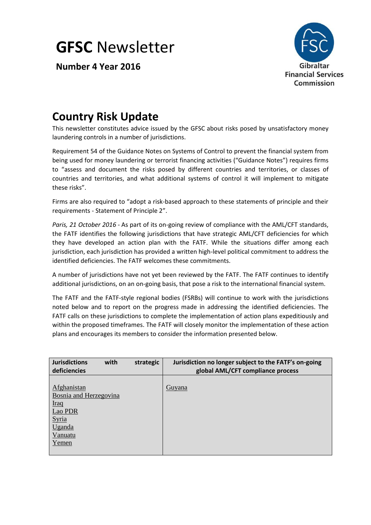**GFSC** Newsletter

**Number 4 Year 2016**



# **Country Risk Update**

This newsletter constitutes advice issued by the GFSC about risks posed by unsatisfactory money laundering controls in a number of jurisdictions.

Requirement 54 of the Guidance Notes on Systems of Control to prevent the financial system from being used for money laundering or terrorist financing activities ("Guidance Notes") requires firms to "assess and document the risks posed by different countries and territories, or classes of countries and territories, and what additional systems of control it will implement to mitigate these risks".

Firms are also required to "adopt a risk‐based approach to these statements of principle and their requirements ‐ Statement of Principle 2".

*Paris, 21 October 2016* - As part of its on-going review of compliance with the AML/CFT standards, the FATF identifies the following jurisdictions that have strategic AML/CFT deficiencies for which they have developed an action plan with the FATF. While the situations differ among each jurisdiction, each jurisdiction has provided a written high-level political commitment to address the identified deficiencies. The FATF welcomes these commitments.

A number of jurisdictions have not yet been reviewed by the FATF. The FATF continues to identify additional jurisdictions, on an on-going basis, that pose a risk to the international financial system.

The FATF and the FATF-style regional bodies (FSRBs) will continue to work with the jurisdictions noted below and to report on the progress made in addressing the identified deficiencies. The FATF calls on these jurisdictions to complete the implementation of action plans expeditiously and within the proposed timeframes. The FATF will closely monitor the implementation of these action plans and encourages its members to consider the information presented below.

| <b>Jurisdictions</b><br>deficiencies                                                                   | with | strategic | Jurisdiction no longer subject to the FATF's on-going<br>global AML/CFT compliance process |
|--------------------------------------------------------------------------------------------------------|------|-----------|--------------------------------------------------------------------------------------------|
| Afghanistan<br>Bosnia and Herzegovina<br><u>Iraq</u><br>Lao PDR<br>Syria<br>Uganda<br>Vanuatu<br>Yemen |      |           | <b>Guyana</b>                                                                              |
|                                                                                                        |      |           |                                                                                            |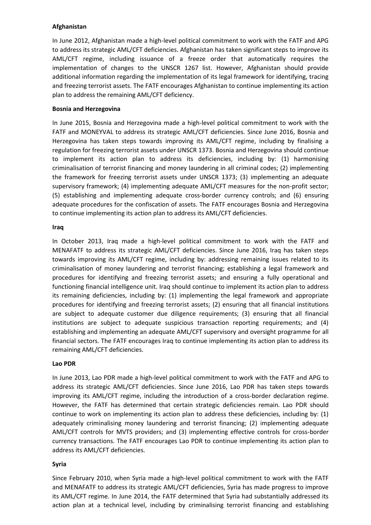#### **Afghanistan**

In June 2012, Afghanistan made a high-level political commitment to work with the FATF and APG to address its strategic AML/CFT deficiencies. Afghanistan has taken significant steps to improve its AML/CFT regime, including issuance of a freeze order that automatically requires the implementation of changes to the UNSCR 1267 list. However, Afghanistan should provide additional information regarding the implementation of its legal framework for identifying, tracing and freezing terrorist assets. The FATF encourages Afghanistan to continue implementing its action plan to address the remaining AML/CFT deficiency.

# **Bosnia and Herzegovina**

In June 2015, Bosnia and Herzegovina made a high-level political commitment to work with the FATF and MONEYVAL to address its strategic AML/CFT deficiencies. Since June 2016, Bosnia and Herzegovina has taken steps towards improving its AML/CFT regime, including by finalising a regulation for freezing terrorist assets under UNSCR 1373. Bosnia and Herzegovina should continue to implement its action plan to address its deficiencies, including by: (1) harmonising criminalisation of terrorist financing and money laundering in all criminal codes; (2) implementing the framework for freezing terrorist assets under UNSCR 1373; (3) implementing an adequate supervisory framework; (4) implementing adequate AML/CFT measures for the non-profit sector; (5) establishing and implementing adequate cross-border currency controls; and (6) ensuring adequate procedures for the confiscation of assets. The FATF encourages Bosnia and Herzegovina to continue implementing its action plan to address its AML/CFT deficiencies.

#### **Iraq**

In October 2013, Iraq made a high-level political commitment to work with the FATF and MENAFATF to address its strategic AML/CFT deficiencies. Since June 2016, Iraq has taken steps towards improving its AML/CFT regime, including by: addressing remaining issues related to its criminalisation of money laundering and terrorist financing; establishing a legal framework and procedures for identifying and freezing terrorist assets; and ensuring a fully operational and functioning financial intelligence unit. Iraq should continue to implement its action plan to address its remaining deficiencies, including by: (1) implementing the legal framework and appropriate procedures for identifying and freezing terrorist assets; (2) ensuring that all financial institutions are subject to adequate customer due diligence requirements; (3) ensuring that all financial institutions are subject to adequate suspicious transaction reporting requirements; and (4) establishing and implementing an adequate AML/CFT supervisory and oversight programme for all financial sectors. The FATF encourages Iraq to continue implementing its action plan to address its remaining AML/CFT deficiencies.

#### **Lao PDR**

In June 2013, Lao PDR made a high-level political commitment to work with the FATF and APG to address its strategic AML/CFT deficiencies. Since June 2016, Lao PDR has taken steps towards improving its AML/CFT regime, including the introduction of a cross-border declaration regime. However, the FATF has determined that certain strategic deficiencies remain. Lao PDR should continue to work on implementing its action plan to address these deficiencies, including by: (1) adequately criminalising money laundering and terrorist financing; (2) implementing adequate AML/CFT controls for MVTS providers; and (3) implementing effective controls for cross-border currency transactions. The FATF encourages Lao PDR to continue implementing its action plan to address its AML/CFT deficiencies.

# **Syria**

Since February 2010, when Syria made a high-level political commitment to work with the FATF and MENAFATF to address its strategic AML/CFT deficiencies, Syria has made progress to improve its AML/CFT regime. In June 2014, the FATF determined that Syria had substantially addressed its action plan at a technical level, including by criminalising terrorist financing and establishing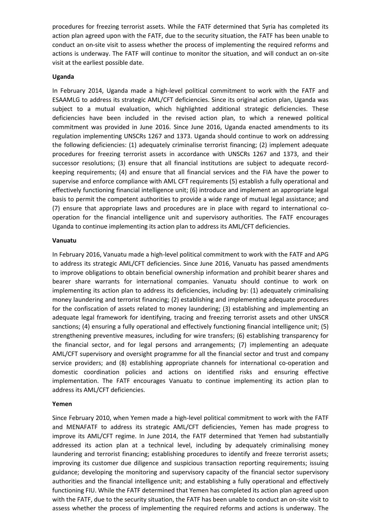procedures for freezing terrorist assets. While the FATF determined that Syria has completed its action plan agreed upon with the FATF, due to the security situation, the FATF has been unable to conduct an on-site visit to assess whether the process of implementing the required reforms and actions is underway. The FATF will continue to monitor the situation, and will conduct an on-site visit at the earliest possible date.

#### **Uganda**

In February 2014, Uganda made a high-level political commitment to work with the FATF and ESAAMLG to address its strategic AML/CFT deficiencies. Since its original action plan, Uganda was subject to a mutual evaluation, which highlighted additional strategic deficiencies. These deficiencies have been included in the revised action plan, to which a renewed political commitment was provided in June 2016. Since June 2016, Uganda enacted amendments to its regulation implementing UNSCRs 1267 and 1373. Uganda should continue to work on addressing the following deficiencies: (1) adequately criminalise terrorist financing; (2) implement adequate procedures for freezing terrorist assets in accordance with UNSCRs 1267 and 1373, and their successor resolutions; (3) ensure that all financial institutions are subject to adequate recordkeeping requirements; (4) and ensure that all financial services and the FIA have the power to supervise and enforce compliance with AML CFT requirements (5) establish a fully operational and effectively functioning financial intelligence unit; (6) introduce and implement an appropriate legal basis to permit the competent authorities to provide a wide range of mutual legal assistance; and (7) ensure that appropriate laws and procedures are in place with regard to international cooperation for the financial intelligence unit and supervisory authorities. The FATF encourages Uganda to continue implementing its action plan to address its AML/CFT deficiencies.

## **Vanuatu**

In February 2016, Vanuatu made a high-level political commitment to work with the FATF and APG to address its strategic AML/CFT deficiencies. Since June 2016, Vanuatu has passed amendments to improve obligations to obtain beneficial ownership information and prohibit bearer shares and bearer share warrants for international companies. Vanuatu should continue to work on implementing its action plan to address its deficiencies, including by: (1) adequately criminalising money laundering and terrorist financing; (2) establishing and implementing adequate procedures for the confiscation of assets related to money laundering; (3) establishing and implementing an adequate legal framework for identifying, tracing and freezing terrorist assets and other UNSCR sanctions; (4) ensuring a fully operational and effectively functioning financial intelligence unit; (5) strengthening preventive measures, including for wire transfers; (6) establishing transparency for the financial sector, and for legal persons and arrangements; (7) implementing an adequate AML/CFT supervisory and oversight programme for all the financial sector and trust and company service providers; and (8) establishing appropriate channels for international co-operation and domestic coordination policies and actions on identified risks and ensuring effective implementation. The FATF encourages Vanuatu to continue implementing its action plan to address its AML/CFT deficiencies.

# **Yemen**

Since February 2010, when Yemen made a high-level political commitment to work with the FATF and MENAFATF to address its strategic AML/CFT deficiencies, Yemen has made progress to improve its AML/CFT regime. In June 2014, the FATF determined that Yemen had substantially addressed its action plan at a technical level, including by adequately criminalising money laundering and terrorist financing; establishing procedures to identify and freeze terrorist assets; improving its customer due diligence and suspicious transaction reporting requirements; issuing guidance; developing the monitoring and supervisory capacity of the financial sector supervisory authorities and the financial intelligence unit; and establishing a fully operational and effectively functioning FIU. While the FATF determined that Yemen has completed its action plan agreed upon with the FATF, due to the security situation, the FATF has been unable to conduct an on-site visit to assess whether the process of implementing the required reforms and actions is underway. The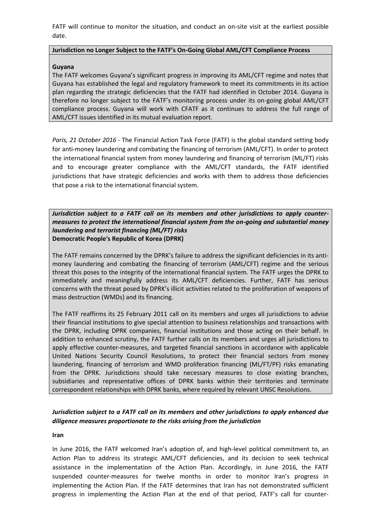FATF will continue to monitor the situation, and conduct an on-site visit at the earliest possible date.

#### **Jurisdiction no Longer Subject to the FATF's On-Going Global AML/CFT Compliance Process**

# **Guyana**

The FATF welcomes Guyana's significant progress in improving its AML/CFT regime and notes that Guyana has established the legal and regulatory framework to meet its commitments in its action plan regarding the strategic deficiencies that the FATF had identified in October 2014. Guyana is therefore no longer subject to the FATF's monitoring process under its on-going global AML/CFT compliance process. Guyana will work with CFATF as it continues to address the full range of AML/CFT issues identified in its mutual evaluation report.

*Paris, 21 October 2016* - The Financial Action Task Force (FATF) is the global standard setting body for anti-money laundering and combating the financing of terrorism (AML/CFT). In order to protect the international financial system from money laundering and financing of terrorism (ML/FT) risks and to encourage greater compliance with the AML/CFT standards, the FATF identified jurisdictions that have strategic deficiencies and works with them to address those deficiencies that pose a risk to the international financial system.

## *Jurisdiction subject to a FATF call on its members and other jurisdictions to apply countermeasures to protect the international financial system from the on-going and substantial money laundering and terrorist financing (ML/FT) risks* **Democratic People's Republic of Korea (DPRK)**

The FATF remains concerned by the DPRK's failure to address the significant deficiencies in its antimoney laundering and combating the financing of terrorism (AML/CFT) regime and the serious threat this poses to the integrity of the international financial system. The FATF urges the DPRK to immediately and meaningfully address its AML/CFT deficiencies. Further, FATF has serious concerns with the threat posed by DPRK's illicit activities related to the proliferation of weapons of mass destruction (WMDs) and its financing.

The FATF reaffirms its 25 February 2011 call on its members and urges all jurisdictions to advise their financial institutions to give special attention to business relationships and transactions with the DPRK, including DPRK companies, financial institutions and those acting on their behalf. In addition to enhanced scrutiny, the FATF further calls on its members and urges all jurisdictions to apply effective counter-measures, and targeted financial sanctions in accordance with applicable United Nations Security Council Resolutions, to protect their financial sectors from money laundering, financing of terrorism and WMD proliferation financing (ML/FT/PF) risks emanating from the DPRK. Jurisdictions should take necessary measures to close existing branches, subsidiaries and representative offices of DPRK banks within their territories and terminate correspondent relationships with DPRK banks, where required by relevant UNSC Resolutions.

# *Jurisdiction subject to a FATF call on its members and other jurisdictions to apply enhanced due diligence measures proportionate to the risks arising from the jurisdiction*

#### **Iran**

In June 2016, the FATF welcomed Iran's adoption of, and high-level political commitment to, an Action Plan to address its strategic AML/CFT deficiencies, and its decision to seek technical assistance in the implementation of the Action Plan. Accordingly, in June 2016, the FATF suspended counter-measures for twelve months in order to monitor Iran's progress in implementing the Action Plan. If the FATF determines that Iran has not demonstrated sufficient progress in implementing the Action Plan at the end of that period, FATF's call for counter